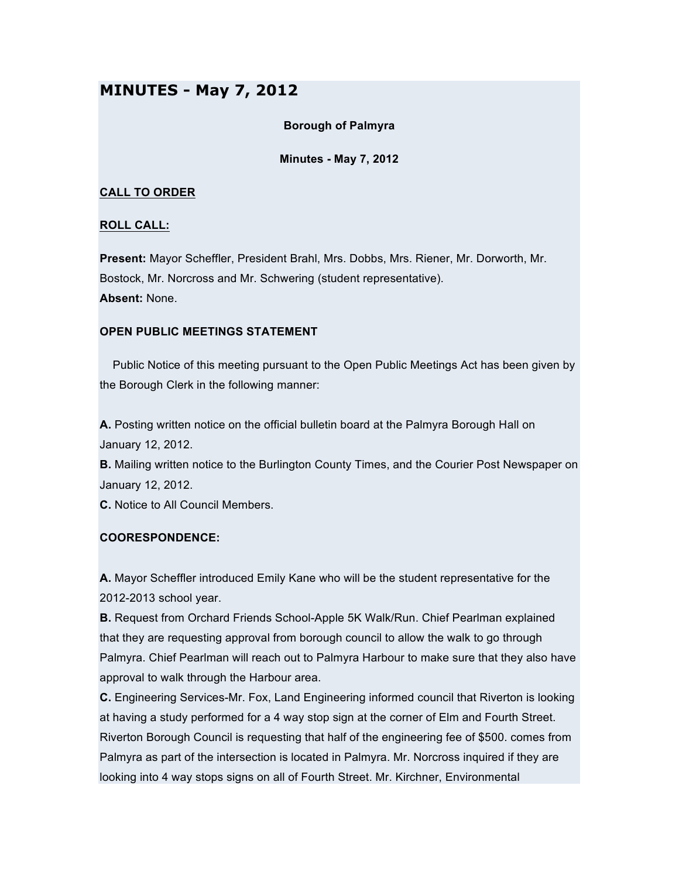# **MINUTES - May 7, 2012**

## **Borough of Palmyra**

## **Minutes - May 7, 2012**

## **CALL TO ORDER**

## **ROLL CALL:**

**Present:** Mayor Scheffler, President Brahl, Mrs. Dobbs, Mrs. Riener, Mr. Dorworth, Mr. Bostock, Mr. Norcross and Mr. Schwering (student representative). **Absent:** None.

## **OPEN PUBLIC MEETINGS STATEMENT**

Public Notice of this meeting pursuant to the Open Public Meetings Act has been given by the Borough Clerk in the following manner:

**A.** Posting written notice on the official bulletin board at the Palmyra Borough Hall on January 12, 2012.

**B.** Mailing written notice to the Burlington County Times, and the Courier Post Newspaper on January 12, 2012.

**C.** Notice to All Council Members.

#### **COORESPONDENCE:**

**A.** Mayor Scheffler introduced Emily Kane who will be the student representative for the 2012-2013 school year.

**B.** Request from Orchard Friends School-Apple 5K Walk/Run. Chief Pearlman explained that they are requesting approval from borough council to allow the walk to go through Palmyra. Chief Pearlman will reach out to Palmyra Harbour to make sure that they also have approval to walk through the Harbour area.

**C.** Engineering Services-Mr. Fox, Land Engineering informed council that Riverton is looking at having a study performed for a 4 way stop sign at the corner of Elm and Fourth Street. Riverton Borough Council is requesting that half of the engineering fee of \$500. comes from Palmyra as part of the intersection is located in Palmyra. Mr. Norcross inquired if they are looking into 4 way stops signs on all of Fourth Street. Mr. Kirchner, Environmental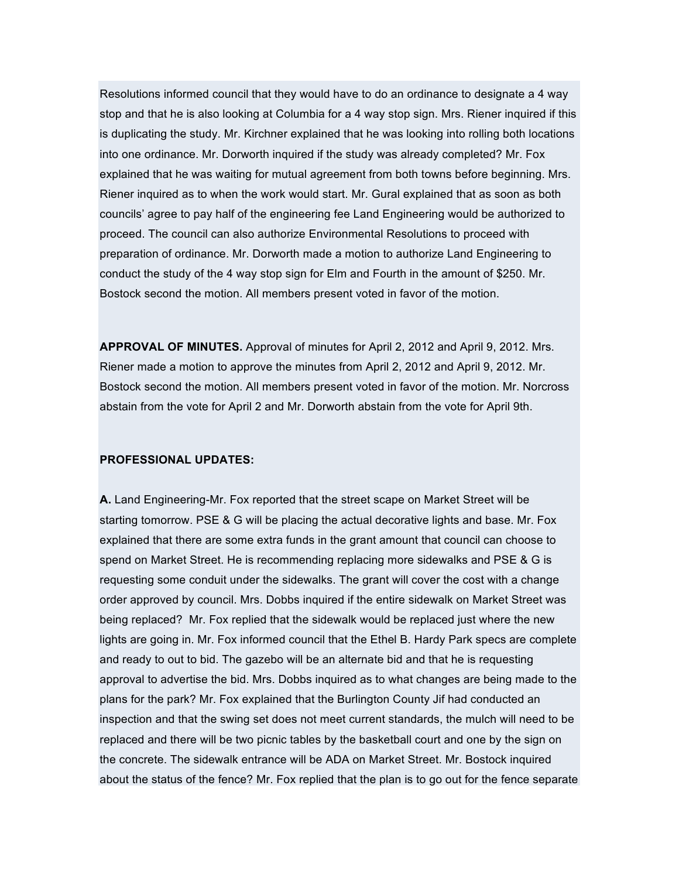Resolutions informed council that they would have to do an ordinance to designate a 4 way stop and that he is also looking at Columbia for a 4 way stop sign. Mrs. Riener inquired if this is duplicating the study. Mr. Kirchner explained that he was looking into rolling both locations into one ordinance. Mr. Dorworth inquired if the study was already completed? Mr. Fox explained that he was waiting for mutual agreement from both towns before beginning. Mrs. Riener inquired as to when the work would start. Mr. Gural explained that as soon as both councils' agree to pay half of the engineering fee Land Engineering would be authorized to proceed. The council can also authorize Environmental Resolutions to proceed with preparation of ordinance. Mr. Dorworth made a motion to authorize Land Engineering to conduct the study of the 4 way stop sign for Elm and Fourth in the amount of \$250. Mr. Bostock second the motion. All members present voted in favor of the motion.

**APPROVAL OF MINUTES.** Approval of minutes for April 2, 2012 and April 9, 2012. Mrs. Riener made a motion to approve the minutes from April 2, 2012 and April 9, 2012. Mr. Bostock second the motion. All members present voted in favor of the motion. Mr. Norcross abstain from the vote for April 2 and Mr. Dorworth abstain from the vote for April 9th.

#### **PROFESSIONAL UPDATES:**

**A.** Land Engineering-Mr. Fox reported that the street scape on Market Street will be starting tomorrow. PSE & G will be placing the actual decorative lights and base. Mr. Fox explained that there are some extra funds in the grant amount that council can choose to spend on Market Street. He is recommending replacing more sidewalks and PSE & G is requesting some conduit under the sidewalks. The grant will cover the cost with a change order approved by council. Mrs. Dobbs inquired if the entire sidewalk on Market Street was being replaced? Mr. Fox replied that the sidewalk would be replaced just where the new lights are going in. Mr. Fox informed council that the Ethel B. Hardy Park specs are complete and ready to out to bid. The gazebo will be an alternate bid and that he is requesting approval to advertise the bid. Mrs. Dobbs inquired as to what changes are being made to the plans for the park? Mr. Fox explained that the Burlington County Jif had conducted an inspection and that the swing set does not meet current standards, the mulch will need to be replaced and there will be two picnic tables by the basketball court and one by the sign on the concrete. The sidewalk entrance will be ADA on Market Street. Mr. Bostock inquired about the status of the fence? Mr. Fox replied that the plan is to go out for the fence separate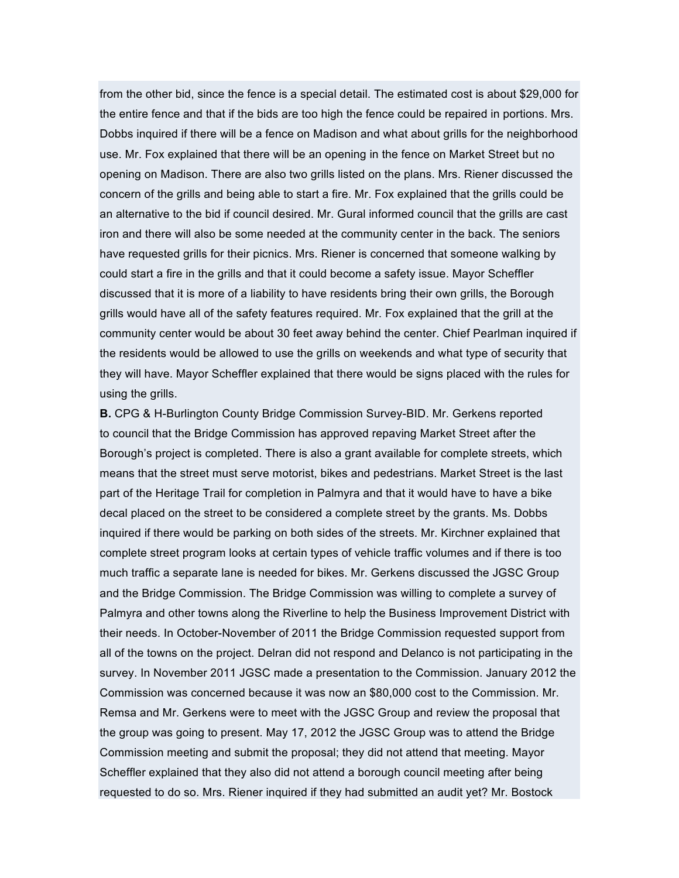from the other bid, since the fence is a special detail. The estimated cost is about \$29,000 for the entire fence and that if the bids are too high the fence could be repaired in portions. Mrs. Dobbs inquired if there will be a fence on Madison and what about grills for the neighborhood use. Mr. Fox explained that there will be an opening in the fence on Market Street but no opening on Madison. There are also two grills listed on the plans. Mrs. Riener discussed the concern of the grills and being able to start a fire. Mr. Fox explained that the grills could be an alternative to the bid if council desired. Mr. Gural informed council that the grills are cast iron and there will also be some needed at the community center in the back. The seniors have requested grills for their picnics. Mrs. Riener is concerned that someone walking by could start a fire in the grills and that it could become a safety issue. Mayor Scheffler discussed that it is more of a liability to have residents bring their own grills, the Borough grills would have all of the safety features required. Mr. Fox explained that the grill at the community center would be about 30 feet away behind the center. Chief Pearlman inquired if the residents would be allowed to use the grills on weekends and what type of security that they will have. Mayor Scheffler explained that there would be signs placed with the rules for using the grills.

**B.** CPG & H-Burlington County Bridge Commission Survey-BID. Mr. Gerkens reported to council that the Bridge Commission has approved repaving Market Street after the Borough's project is completed. There is also a grant available for complete streets, which means that the street must serve motorist, bikes and pedestrians. Market Street is the last part of the Heritage Trail for completion in Palmyra and that it would have to have a bike decal placed on the street to be considered a complete street by the grants. Ms. Dobbs inquired if there would be parking on both sides of the streets. Mr. Kirchner explained that complete street program looks at certain types of vehicle traffic volumes and if there is too much traffic a separate lane is needed for bikes. Mr. Gerkens discussed the JGSC Group and the Bridge Commission. The Bridge Commission was willing to complete a survey of Palmyra and other towns along the Riverline to help the Business Improvement District with their needs. In October-November of 2011 the Bridge Commission requested support from all of the towns on the project. Delran did not respond and Delanco is not participating in the survey. In November 2011 JGSC made a presentation to the Commission. January 2012 the Commission was concerned because it was now an \$80,000 cost to the Commission. Mr. Remsa and Mr. Gerkens were to meet with the JGSC Group and review the proposal that the group was going to present. May 17, 2012 the JGSC Group was to attend the Bridge Commission meeting and submit the proposal; they did not attend that meeting. Mayor Scheffler explained that they also did not attend a borough council meeting after being requested to do so. Mrs. Riener inquired if they had submitted an audit yet? Mr. Bostock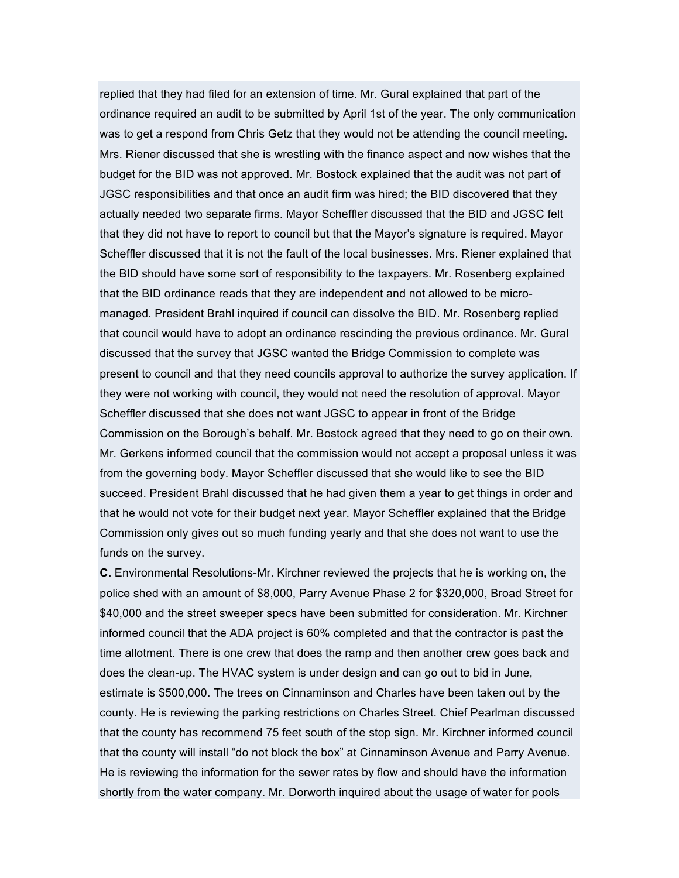replied that they had filed for an extension of time. Mr. Gural explained that part of the ordinance required an audit to be submitted by April 1st of the year. The only communication was to get a respond from Chris Getz that they would not be attending the council meeting. Mrs. Riener discussed that she is wrestling with the finance aspect and now wishes that the budget for the BID was not approved. Mr. Bostock explained that the audit was not part of JGSC responsibilities and that once an audit firm was hired; the BID discovered that they actually needed two separate firms. Mayor Scheffler discussed that the BID and JGSC felt that they did not have to report to council but that the Mayor's signature is required. Mayor Scheffler discussed that it is not the fault of the local businesses. Mrs. Riener explained that the BID should have some sort of responsibility to the taxpayers. Mr. Rosenberg explained that the BID ordinance reads that they are independent and not allowed to be micromanaged. President Brahl inquired if council can dissolve the BID. Mr. Rosenberg replied that council would have to adopt an ordinance rescinding the previous ordinance. Mr. Gural discussed that the survey that JGSC wanted the Bridge Commission to complete was present to council and that they need councils approval to authorize the survey application. If they were not working with council, they would not need the resolution of approval. Mayor Scheffler discussed that she does not want JGSC to appear in front of the Bridge Commission on the Borough's behalf. Mr. Bostock agreed that they need to go on their own. Mr. Gerkens informed council that the commission would not accept a proposal unless it was from the governing body. Mayor Scheffler discussed that she would like to see the BID succeed. President Brahl discussed that he had given them a year to get things in order and that he would not vote for their budget next year. Mayor Scheffler explained that the Bridge Commission only gives out so much funding yearly and that she does not want to use the funds on the survey.

**C.** Environmental Resolutions-Mr. Kirchner reviewed the projects that he is working on, the police shed with an amount of \$8,000, Parry Avenue Phase 2 for \$320,000, Broad Street for \$40,000 and the street sweeper specs have been submitted for consideration. Mr. Kirchner informed council that the ADA project is 60% completed and that the contractor is past the time allotment. There is one crew that does the ramp and then another crew goes back and does the clean-up. The HVAC system is under design and can go out to bid in June, estimate is \$500,000. The trees on Cinnaminson and Charles have been taken out by the county. He is reviewing the parking restrictions on Charles Street. Chief Pearlman discussed that the county has recommend 75 feet south of the stop sign. Mr. Kirchner informed council that the county will install "do not block the box" at Cinnaminson Avenue and Parry Avenue. He is reviewing the information for the sewer rates by flow and should have the information shortly from the water company. Mr. Dorworth inquired about the usage of water for pools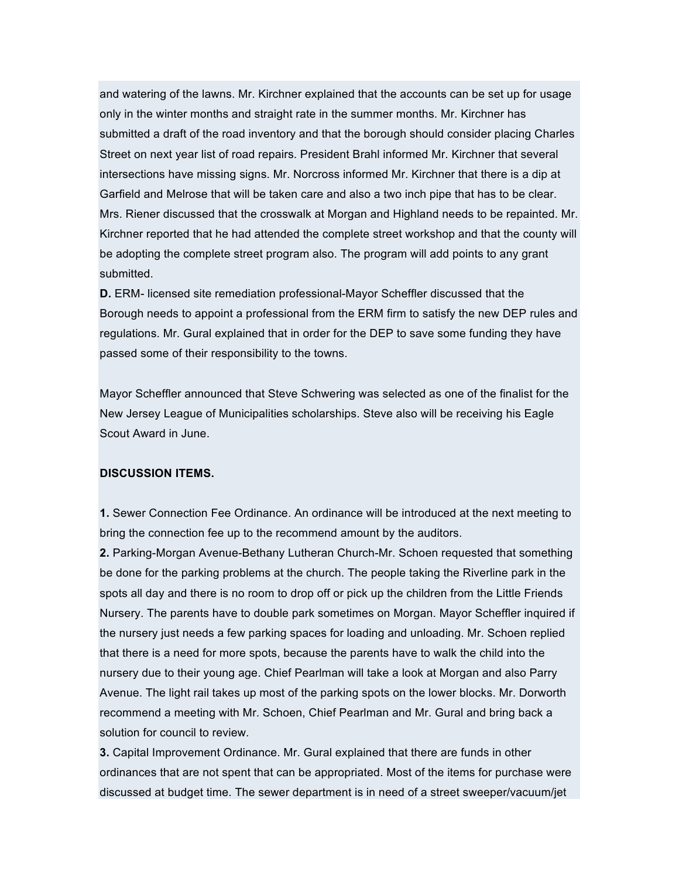and watering of the lawns. Mr. Kirchner explained that the accounts can be set up for usage only in the winter months and straight rate in the summer months. Mr. Kirchner has submitted a draft of the road inventory and that the borough should consider placing Charles Street on next year list of road repairs. President Brahl informed Mr. Kirchner that several intersections have missing signs. Mr. Norcross informed Mr. Kirchner that there is a dip at Garfield and Melrose that will be taken care and also a two inch pipe that has to be clear. Mrs. Riener discussed that the crosswalk at Morgan and Highland needs to be repainted. Mr. Kirchner reported that he had attended the complete street workshop and that the county will be adopting the complete street program also. The program will add points to any grant submitted.

**D.** ERM- licensed site remediation professional-Mayor Scheffler discussed that the Borough needs to appoint a professional from the ERM firm to satisfy the new DEP rules and regulations. Mr. Gural explained that in order for the DEP to save some funding they have passed some of their responsibility to the towns.

Mayor Scheffler announced that Steve Schwering was selected as one of the finalist for the New Jersey League of Municipalities scholarships. Steve also will be receiving his Eagle Scout Award in June.

#### **DISCUSSION ITEMS.**

**1.** Sewer Connection Fee Ordinance. An ordinance will be introduced at the next meeting to bring the connection fee up to the recommend amount by the auditors.

**2.** Parking-Morgan Avenue-Bethany Lutheran Church-Mr. Schoen requested that something be done for the parking problems at the church. The people taking the Riverline park in the spots all day and there is no room to drop off or pick up the children from the Little Friends Nursery. The parents have to double park sometimes on Morgan. Mayor Scheffler inquired if the nursery just needs a few parking spaces for loading and unloading. Mr. Schoen replied that there is a need for more spots, because the parents have to walk the child into the nursery due to their young age. Chief Pearlman will take a look at Morgan and also Parry Avenue. The light rail takes up most of the parking spots on the lower blocks. Mr. Dorworth recommend a meeting with Mr. Schoen, Chief Pearlman and Mr. Gural and bring back a solution for council to review.

**3.** Capital Improvement Ordinance. Mr. Gural explained that there are funds in other ordinances that are not spent that can be appropriated. Most of the items for purchase were discussed at budget time. The sewer department is in need of a street sweeper/vacuum/jet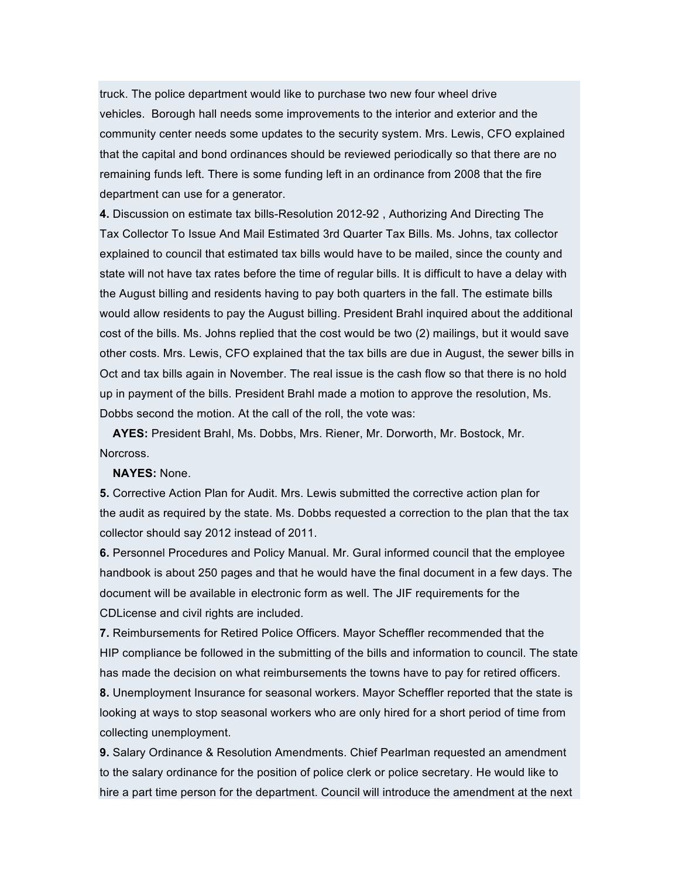truck. The police department would like to purchase two new four wheel drive vehicles. Borough hall needs some improvements to the interior and exterior and the community center needs some updates to the security system. Mrs. Lewis, CFO explained that the capital and bond ordinances should be reviewed periodically so that there are no remaining funds left. There is some funding left in an ordinance from 2008 that the fire department can use for a generator.

**4.** Discussion on estimate tax bills-Resolution 2012-92 , Authorizing And Directing The Tax Collector To Issue And Mail Estimated 3rd Quarter Tax Bills. Ms. Johns, tax collector explained to council that estimated tax bills would have to be mailed, since the county and state will not have tax rates before the time of regular bills. It is difficult to have a delay with the August billing and residents having to pay both quarters in the fall. The estimate bills would allow residents to pay the August billing. President Brahl inquired about the additional cost of the bills. Ms. Johns replied that the cost would be two (2) mailings, but it would save other costs. Mrs. Lewis, CFO explained that the tax bills are due in August, the sewer bills in Oct and tax bills again in November. The real issue is the cash flow so that there is no hold up in payment of the bills. President Brahl made a motion to approve the resolution, Ms. Dobbs second the motion. At the call of the roll, the vote was:

**AYES:** President Brahl, Ms. Dobbs, Mrs. Riener, Mr. Dorworth, Mr. Bostock, Mr. Norcross.

#### **NAYES:** None.

**5.** Corrective Action Plan for Audit. Mrs. Lewis submitted the corrective action plan for the audit as required by the state. Ms. Dobbs requested a correction to the plan that the tax collector should say 2012 instead of 2011.

**6.** Personnel Procedures and Policy Manual. Mr. Gural informed council that the employee handbook is about 250 pages and that he would have the final document in a few days. The document will be available in electronic form as well. The JIF requirements for the CDLicense and civil rights are included.

**7.** Reimbursements for Retired Police Officers. Mayor Scheffler recommended that the HIP compliance be followed in the submitting of the bills and information to council. The state has made the decision on what reimbursements the towns have to pay for retired officers.

**8.** Unemployment Insurance for seasonal workers. Mayor Scheffler reported that the state is looking at ways to stop seasonal workers who are only hired for a short period of time from collecting unemployment.

**9.** Salary Ordinance & Resolution Amendments. Chief Pearlman requested an amendment to the salary ordinance for the position of police clerk or police secretary. He would like to hire a part time person for the department. Council will introduce the amendment at the next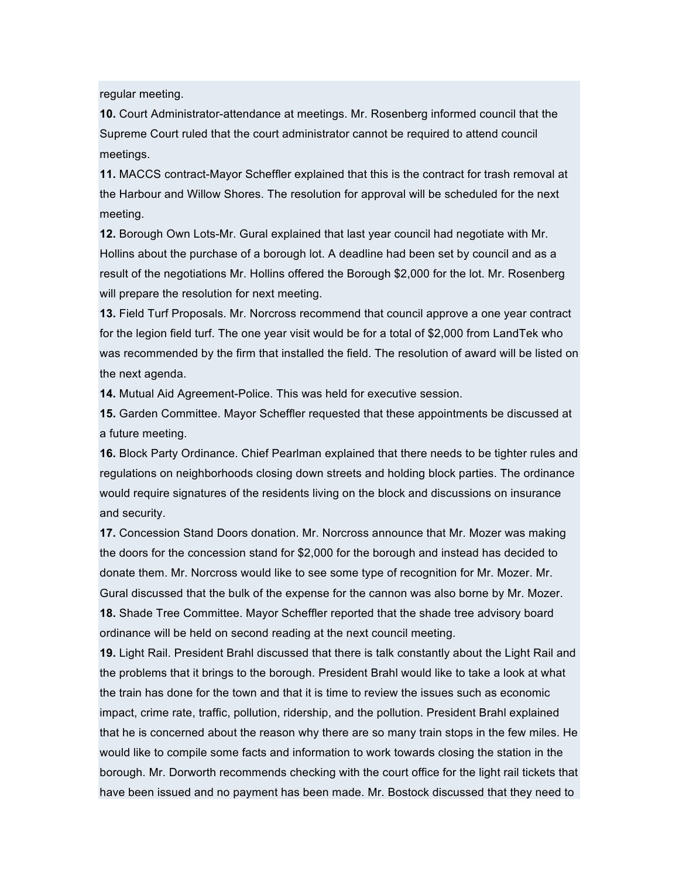regular meeting.

**10.** Court Administrator-attendance at meetings. Mr. Rosenberg informed council that the Supreme Court ruled that the court administrator cannot be required to attend council meetings.

**11.** MACCS contract-Mayor Scheffler explained that this is the contract for trash removal at the Harbour and Willow Shores. The resolution for approval will be scheduled for the next meeting.

**12.** Borough Own Lots-Mr. Gural explained that last year council had negotiate with Mr. Hollins about the purchase of a borough lot. A deadline had been set by council and as a result of the negotiations Mr. Hollins offered the Borough \$2,000 for the lot. Mr. Rosenberg will prepare the resolution for next meeting.

**13.** Field Turf Proposals. Mr. Norcross recommend that council approve a one year contract for the legion field turf. The one year visit would be for a total of \$2,000 from LandTek who was recommended by the firm that installed the field. The resolution of award will be listed on the next agenda.

**14.** Mutual Aid Agreement-Police. This was held for executive session.

**15.** Garden Committee. Mayor Scheffler requested that these appointments be discussed at a future meeting.

**16.** Block Party Ordinance. Chief Pearlman explained that there needs to be tighter rules and regulations on neighborhoods closing down streets and holding block parties. The ordinance would require signatures of the residents living on the block and discussions on insurance and security.

**17.** Concession Stand Doors donation. Mr. Norcross announce that Mr. Mozer was making the doors for the concession stand for \$2,000 for the borough and instead has decided to donate them. Mr. Norcross would like to see some type of recognition for Mr. Mozer. Mr. Gural discussed that the bulk of the expense for the cannon was also borne by Mr. Mozer. **18.** Shade Tree Committee. Mayor Scheffler reported that the shade tree advisory board ordinance will be held on second reading at the next council meeting.

**19.** Light Rail. President Brahl discussed that there is talk constantly about the Light Rail and the problems that it brings to the borough. President Brahl would like to take a look at what the train has done for the town and that it is time to review the issues such as economic impact, crime rate, traffic, pollution, ridership, and the pollution. President Brahl explained that he is concerned about the reason why there are so many train stops in the few miles. He would like to compile some facts and information to work towards closing the station in the borough. Mr. Dorworth recommends checking with the court office for the light rail tickets that have been issued and no payment has been made. Mr. Bostock discussed that they need to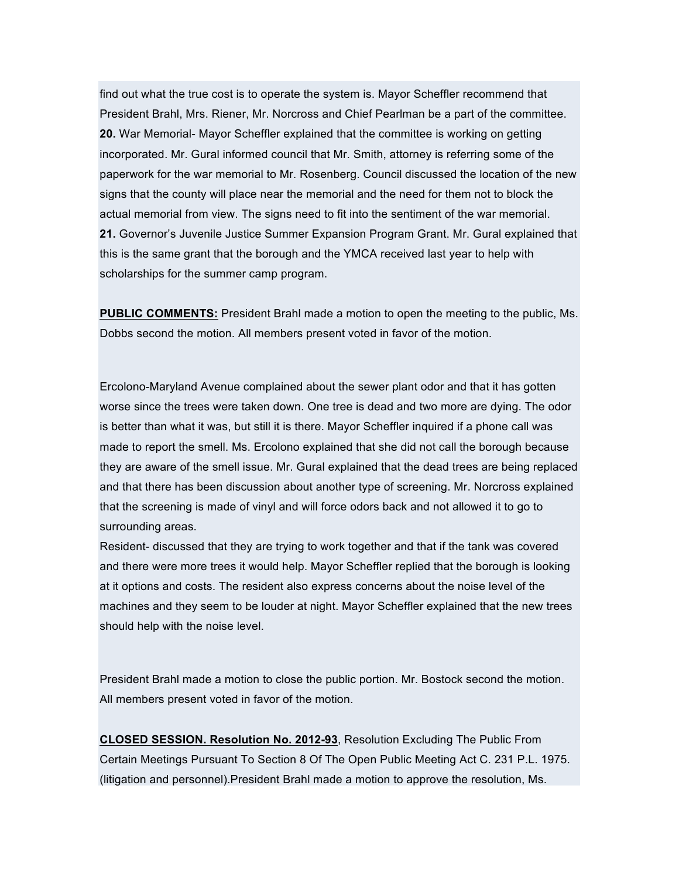find out what the true cost is to operate the system is. Mayor Scheffler recommend that President Brahl, Mrs. Riener, Mr. Norcross and Chief Pearlman be a part of the committee. **20.** War Memorial- Mayor Scheffler explained that the committee is working on getting incorporated. Mr. Gural informed council that Mr. Smith, attorney is referring some of the paperwork for the war memorial to Mr. Rosenberg. Council discussed the location of the new signs that the county will place near the memorial and the need for them not to block the actual memorial from view. The signs need to fit into the sentiment of the war memorial. **21.** Governor's Juvenile Justice Summer Expansion Program Grant. Mr. Gural explained that this is the same grant that the borough and the YMCA received last year to help with scholarships for the summer camp program.

**PUBLIC COMMENTS:** President Brahl made a motion to open the meeting to the public, Ms. Dobbs second the motion. All members present voted in favor of the motion.

Ercolono-Maryland Avenue complained about the sewer plant odor and that it has gotten worse since the trees were taken down. One tree is dead and two more are dying. The odor is better than what it was, but still it is there. Mayor Scheffler inquired if a phone call was made to report the smell. Ms. Ercolono explained that she did not call the borough because they are aware of the smell issue. Mr. Gural explained that the dead trees are being replaced and that there has been discussion about another type of screening. Mr. Norcross explained that the screening is made of vinyl and will force odors back and not allowed it to go to surrounding areas.

Resident- discussed that they are trying to work together and that if the tank was covered and there were more trees it would help. Mayor Scheffler replied that the borough is looking at it options and costs. The resident also express concerns about the noise level of the machines and they seem to be louder at night. Mayor Scheffler explained that the new trees should help with the noise level.

President Brahl made a motion to close the public portion. Mr. Bostock second the motion. All members present voted in favor of the motion.

**CLOSED SESSION. Resolution No. 2012-93**, Resolution Excluding The Public From Certain Meetings Pursuant To Section 8 Of The Open Public Meeting Act C. 231 P.L. 1975. (litigation and personnel).President Brahl made a motion to approve the resolution, Ms.